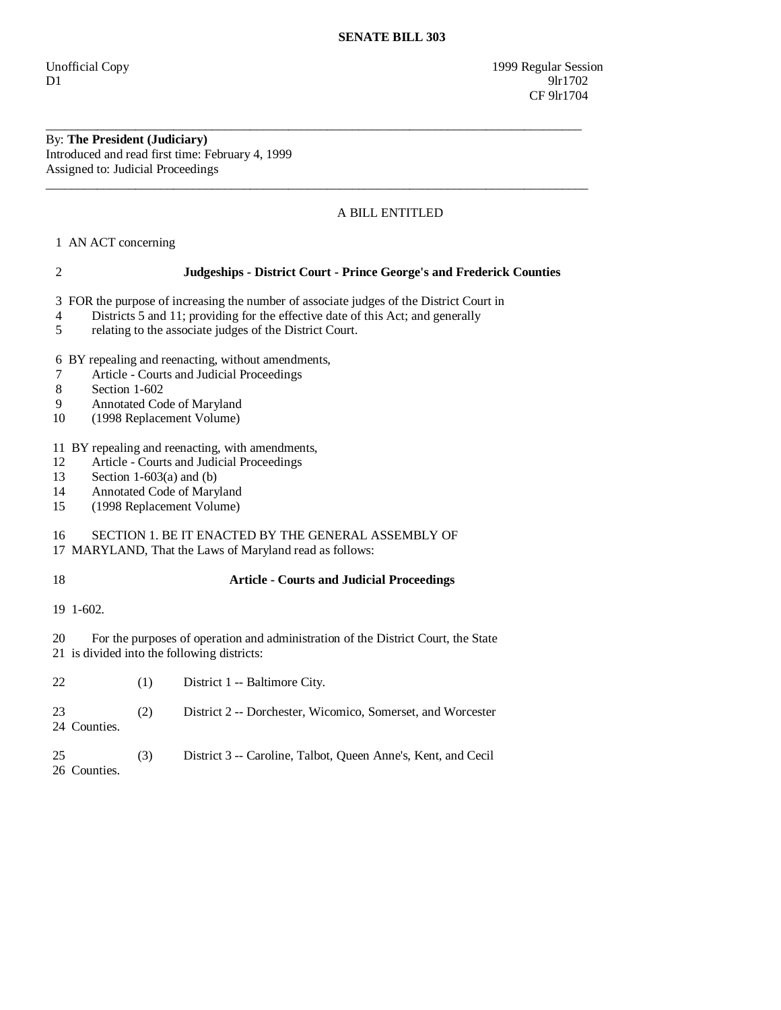Unofficial Copy 1999 Regular Session  $D1$  9lr1702 **CF** 9lr1704

## By: **The President (Judiciary)**  Introduced and read first time: February 4, 1999 Assigned to: Judicial Proceedings

## A BILL ENTITLED

\_\_\_\_\_\_\_\_\_\_\_\_\_\_\_\_\_\_\_\_\_\_\_\_\_\_\_\_\_\_\_\_\_\_\_\_\_\_\_\_\_\_\_\_\_\_\_\_\_\_\_\_\_\_\_\_\_\_\_\_\_\_\_\_\_\_\_\_\_\_\_\_\_\_\_\_\_\_\_\_\_\_\_\_

\_\_\_\_\_\_\_\_\_\_\_\_\_\_\_\_\_\_\_\_\_\_\_\_\_\_\_\_\_\_\_\_\_\_\_\_\_\_\_\_\_\_\_\_\_\_\_\_\_\_\_\_\_\_\_\_\_\_\_\_\_\_\_\_\_\_\_\_\_\_\_\_\_\_\_\_\_\_\_\_\_\_\_\_\_

1 AN ACT concerning

 2 **Judgeships - District Court - Prince George's and Frederick Counties**  3 FOR the purpose of increasing the number of associate judges of the District Court in 4 Districts 5 and 11; providing for the effective date of this Act; and generally 5 relating to the associate judges of the District Court. 6 BY repealing and reenacting, without amendments, 7 Article - Courts and Judicial Proceedings 8 Section 1-602 9 Annotated Code of Maryland 10 (1998 Replacement Volume) 11 BY repealing and reenacting, with amendments, 12 Article - Courts and Judicial Proceedings<br>13 Section 1-603(a) and (b) Section  $1-603(a)$  and (b) 14 Annotated Code of Maryland 15 (1998 Replacement Volume) 16 SECTION 1. BE IT ENACTED BY THE GENERAL ASSEMBLY OF 17 MARYLAND, That the Laws of Maryland read as follows: 18 **Article - Courts and Judicial Proceedings**  19 1-602. 20 For the purposes of operation and administration of the District Court, the State 21 is divided into the following districts: 22 (1) District 1 -- Baltimore City. 23 (2) District 2 -- Dorchester, Wicomico, Somerset, and Worcester 24 Counties. 25 (3) District 3 -- Caroline, Talbot, Queen Anne's, Kent, and Cecil 26 Counties.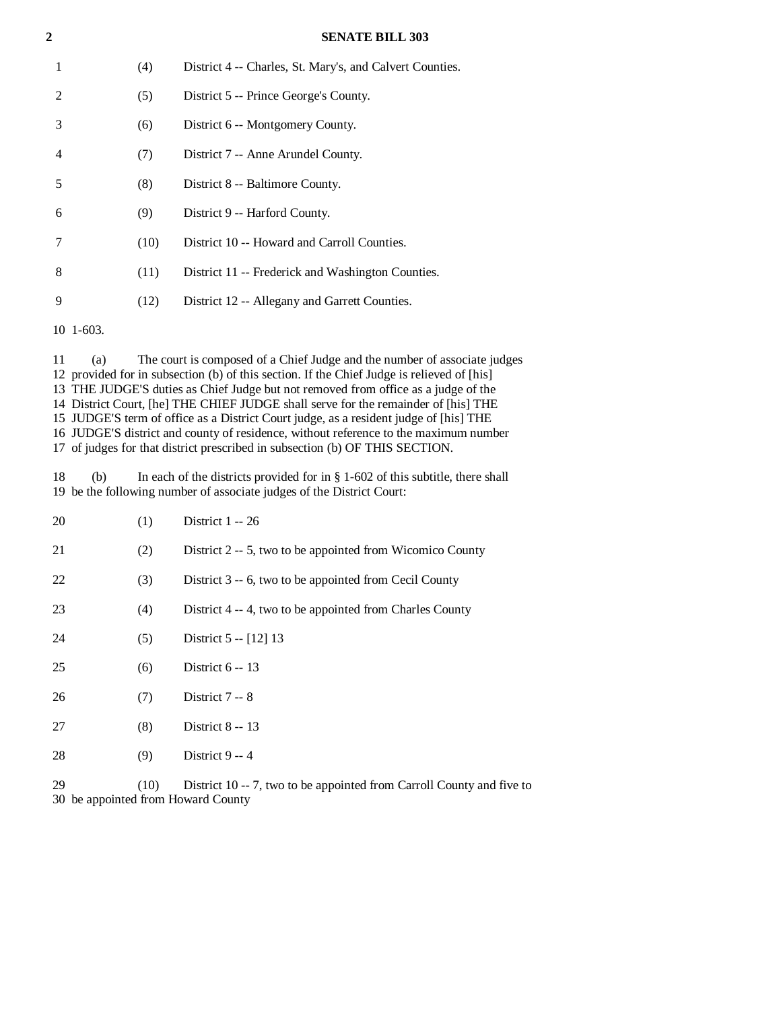| $\overline{2}$ |      | <b>SENATE BILL 303</b>                                   |
|----------------|------|----------------------------------------------------------|
| 1              | (4)  | District 4 -- Charles, St. Mary's, and Calvert Counties. |
| 2              | (5)  | District 5 -- Prince George's County.                    |
| 3              | (6)  | District 6 -- Montgomery County.                         |
| 4              | (7)  | District 7 -- Anne Arundel County.                       |
| 5              | (8)  | District 8 -- Baltimore County.                          |
| 6              | (9)  | District 9 -- Harford County.                            |
| 7              | (10) | District 10 -- Howard and Carroll Counties.              |
| 8              | (11) | District 11 -- Frederick and Washington Counties.        |
| 9              | (12) | District 12 -- Allegany and Garrett Counties.            |
| $10 \t1-603.$  |      |                                                          |

 11 (a) The court is composed of a Chief Judge and the number of associate judges 12 provided for in subsection (b) of this section. If the Chief Judge is relieved of [his] 13 THE JUDGE'S duties as Chief Judge but not removed from office as a judge of the 14 District Court, [he] THE CHIEF JUDGE shall serve for the remainder of [his] THE 15 JUDGE'S term of office as a District Court judge, as a resident judge of [his] THE 16 JUDGE'S district and county of residence, without reference to the maximum number 17 of judges for that district prescribed in subsection (b) OF THIS SECTION.

 18 (b) In each of the districts provided for in § 1-602 of this subtitle, there shall 19 be the following number of associate judges of the District Court:

| 20                                       | (1)  | District $1 - 26$                                                     |
|------------------------------------------|------|-----------------------------------------------------------------------|
| 21                                       | (2)  | District 2 -- 5, two to be appointed from Wicomico County             |
| 22                                       | (3)  | District 3 -- 6, two to be appointed from Cecil County                |
| 23                                       | (4)  | District 4 -- 4, two to be appointed from Charles County              |
| 24                                       | (5)  | District $5 - [12]$ 13                                                |
| 25                                       | (6)  | District $6 - 13$                                                     |
| 26                                       | (7)  | District $7-8$                                                        |
| 27                                       | (8)  | District $8 - 13$                                                     |
| 28                                       | (9)  | District 9 -- 4                                                       |
| 29<br>30 be appointed from Howard County | (10) | District 10 -- 7, two to be appointed from Carroll County and five to |